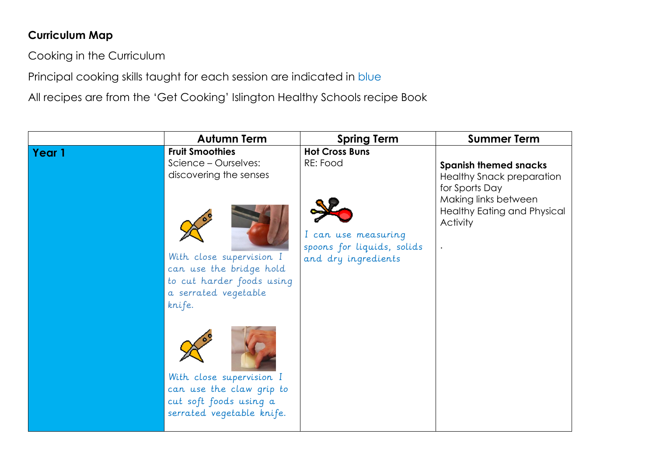## **Curriculum Map**

Cooking in the Curriculum

Principal cooking skills taught for each session are indicated in blue

All recipes are from the 'Get Cooking' Islington Healthy Schools recipe Book

|        | <b>Autumn Term</b>                                                                                                                                                                                                                                          | <b>Spring Term</b>                                                       | <b>Summer Term</b>                                                                                                                  |
|--------|-------------------------------------------------------------------------------------------------------------------------------------------------------------------------------------------------------------------------------------------------------------|--------------------------------------------------------------------------|-------------------------------------------------------------------------------------------------------------------------------------|
| Year 1 | <b>Fruit Smoothies</b><br>Science - Ourselves:                                                                                                                                                                                                              | <b>Hot Cross Buns</b><br>RE: Food                                        | <b>Spanish themed snacks</b>                                                                                                        |
|        | discovering the senses<br>With close supervision I<br>can use the bridge hold<br>to cut harder foods using<br>a serrated vegetable<br>knife.<br>With close supervision I<br>can use the claw grip to<br>cut soft foods using a<br>serrated vegetable knife. | I can use measuring<br>spoons for liquids, solids<br>and dry ingredients | <b>Healthy Snack preparation</b><br>for Sports Day<br>Making links between<br><b>Healthy Eating and Physical</b><br><b>Activity</b> |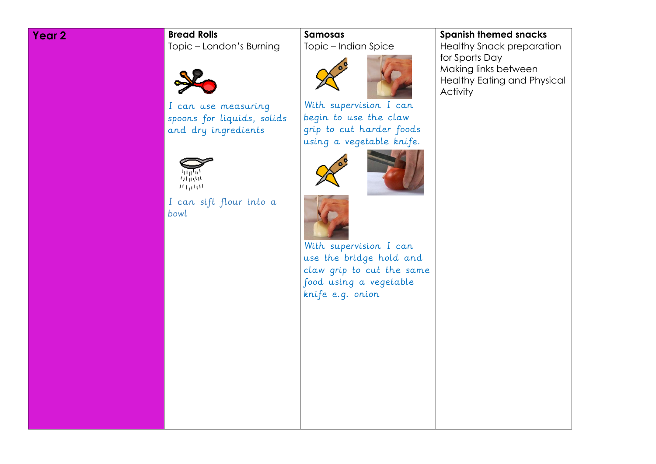## **Year 2 Bread Rolls** Topic – London's Burning



I can use measuring spoons for liquids, solids and dry ingredients



I can sift flour into a bowl

**Samosas** Topic – Indian Spice



With supervision I can begin to use the claw grip to cut harder foods using a vegetable knife.





With supervision I can use the bridge hold and claw grip to cut the same food using a vegetable knife e.g. onion

## **Spanish themed snacks**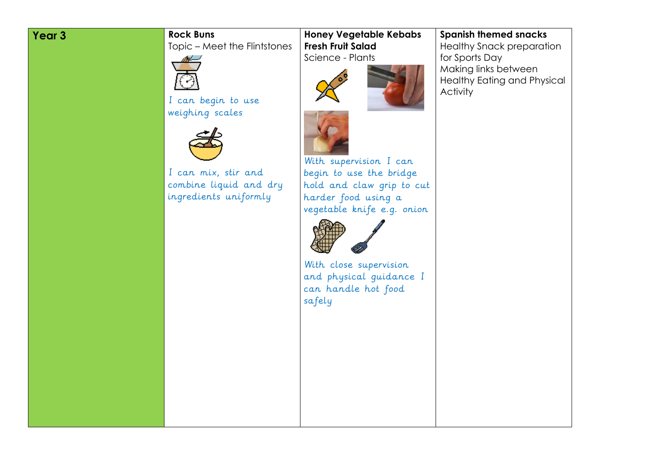## **Year 3 Rock Buns**

Topic – Meet the Flintstones



I can begin to use weighing scales



l. I can mix, stir and combine liquid and dry ingredients uniformly

**Honey Vegetable Kebabs Fresh Fruit Salad** Science - Plants



With supervision I can begin to use the bridge hold and claw grip to cut harder food using a vegetable knife e.g. onion



With close supervision and physical guidance I can handle hot food safely

## **Spanish themed snacks**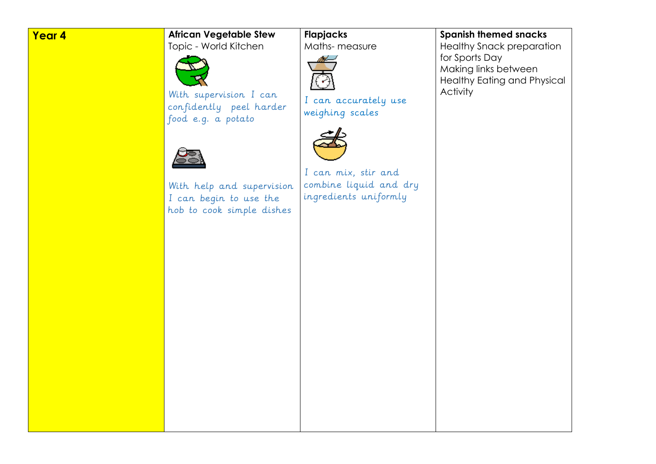## **Year 4 African Vegetable Stew**

Topic - World Kitchen



With supervision I can confidently peel harder food e.g. a potato



With help and supervision I can begin to use the hob to cook simple dishes

### **Flapjacks** Maths- measure



I can accurately use weighing scales



I can mix, stir and combine liquid and dry ingredients uniformly

## **Spanish themed snacks**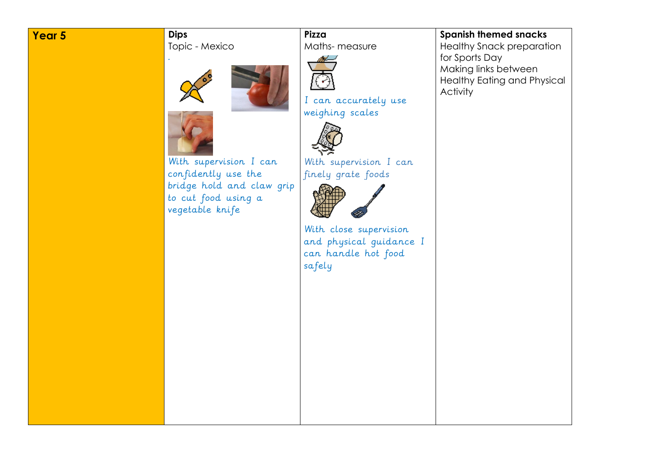# **Year 5 Dips**

.

Topic - Mexico





With supervision I can confidently use the bridge hold and claw grip to cut food using a vegetable knife

**Pizza** Maths- measure



I can accurately use weighing scales



With supervision I can finely grate foods



With close supervision and physical guidance I can handle hot food safely

## **Spanish themed snacks**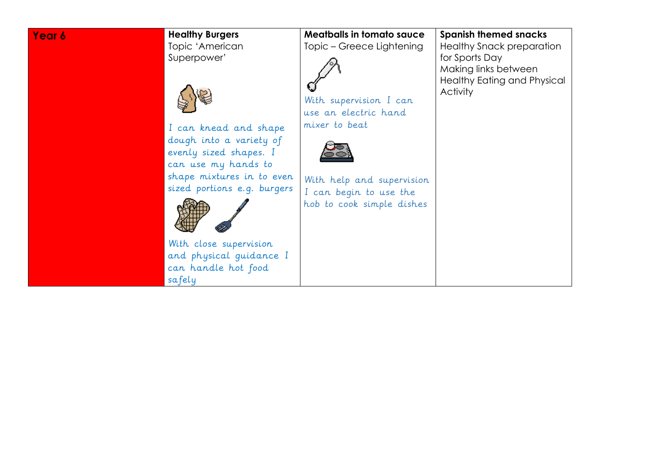# **Year 6 Healthy Burgers**

Topic 'American Superpower'



I can knead and shape dough into a variety of evenly sized shapes. I can use my hands to shape mixtures in to even sized portions e.g. burgers



With close supervision and physical guidance I can handle hot food safely

**Meatballs in tomato sauce** Topic – Greece Lightening



With supervision I can use an electric hand mixer to beat



j. With help and supervision I can begin to use the hob to cook simple dishes

## **Spanish themed snacks**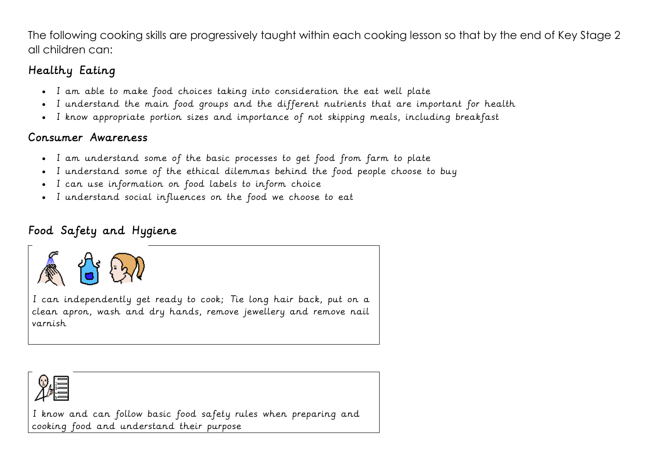The following cooking skills are progressively taught within each cooking lesson so that by the end of Key Stage 2 all children can:

# Healthy Eating

- I am able to make food choices taking into consideration the eat well plate
- I understand the main food groups and the different nutrients that are important for health
- I know appropriate portion sizes and importance of not skipping meals, including breakfast

## Consumer Awareness

- I am understand some of the basic processes to get food from farm to plate
- I understand some of the ethical dilemmas behind the food people choose to buy
- I can use information on food labels to inform choice
- I understand social influences on the food we choose to eat

# Food Safety and Hygiene



I can independently get ready to cook; Tie long hair back, put on a clean apron, wash and dry hands, remove jewellery and remove nail varnish



I know and can follow basic food safety rules when preparing and cooking food and understand their purpose